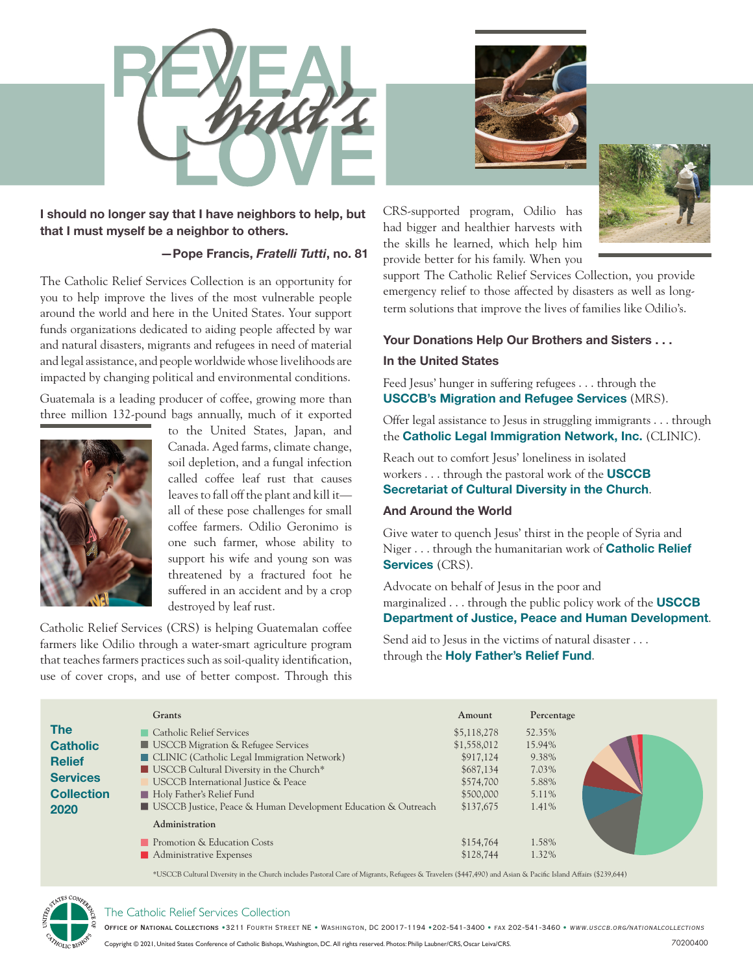

**I should no longer say that I have neighbors to help, but that I must myself be a neighbor to others.**

# **—Pope Francis,** *Fratelli Tutti***, no. 81**

The Catholic Relief Services Collection is an opportunity for you to help improve the lives of the most vulnerable people around the world and here in the United States. Your support funds organizations dedicated to aiding people affected by war and natural disasters, migrants and refugees in need of material and legal assistance, and people worldwide whose livelihoods are impacted by changing political and environmental conditions.

Guatemala is a leading producer of coffee, growing more than three million 132-pound bags annually, much of it exported



to the United States, Japan, and Canada. Aged farms, climate change, soil depletion, and a fungal infection called coffee leaf rust that causes leaves to fall off the plant and kill it all of these pose challenges for small coffee farmers. Odilio Geronimo is one such farmer, whose ability to support his wife and young son was threatened by a fractured foot he suffered in an accident and by a crop destroyed by leaf rust.

Catholic Relief Services (CRS) is helping Guatemalan coffee farmers like Odilio through a water-smart agriculture program that teaches farmers practices such as soil-quality identification, use of cover crops, and use of better compost. Through this





CRS-supported program, Odilio has had bigger and healthier harvests with the skills he learned, which help him provide better for his family. When you

support The Catholic Relief Services Collection, you provide emergency relief to those affected by disasters as well as longterm solutions that improve the lives of families like Odilio's.

# **Your Donations Help Our Brothers and Sisters . . .**

## **In the United States**

Feed Jesus' hunger in suffering refugees . . . through the **USCCB's Migration and Refugee Services** (MRS).

Offer legal assistance to Jesus in struggling immigrants . . . through the **Catholic Legal Immigration Network, Inc.** (CLINIC).

Reach out to comfort Jesus' loneliness in isolated workers . . . through the pastoral work of the **USCCB Secretariat of Cultural Diversity in the Church**.

# **And Around the World**

Give water to quench Jesus' thirst in the people of Syria and Niger . . . through the humanitarian work of **Catholic Relief Services** (CRS).

Advocate on behalf of Jesus in the poor and marginalized . . . through the public policy work of the **USCCB Department of Justice, Peace and Human Development**.

Send aid to Jesus in the victims of natural disaster . . . through the **Holy Father's Relief Fund**.

|                                                                                                | Grants                                                                                                                                                                                                                                                                                                      | Amount                                                                                      | Percentage                                                    |
|------------------------------------------------------------------------------------------------|-------------------------------------------------------------------------------------------------------------------------------------------------------------------------------------------------------------------------------------------------------------------------------------------------------------|---------------------------------------------------------------------------------------------|---------------------------------------------------------------|
| <b>The</b><br><b>Catholic</b><br><b>Relief</b><br><b>Services</b><br><b>Collection</b><br>2020 | Catholic Relief Services<br><b>USCCB</b> Migration & Refugee Services<br>CLINIC (Catholic Legal Immigration Network)<br>USCCB Cultural Diversity in the Church*<br>USCCB International Justice & Peace<br>Holy Father's Relief Fund<br><b>USCCB</b> Justice, Peace & Human Development Education & Outreach | \$5,118,278<br>\$1,558,012<br>\$917,124<br>\$687,134<br>\$574,700<br>\$500,000<br>\$137,675 | 52.35%<br>15.94%<br>9.38%<br>7.03%<br>5.88%<br>5.11%<br>1.41% |
|                                                                                                | Administration<br>Promotion & Education Costs<br>Administrative Expenses                                                                                                                                                                                                                                    | \$154,764<br>\$128,744                                                                      | 1.58%<br>1.32%                                                |

\*USCCB Cultural Diversity in the Church includes Pastoral Care of Migrants, Refugees & Travelers (\$447,490) and Asian & Pacific Island Affairs (\$239,644)



#### The Catholic Relief Services Collection

Office of National Collections •3211 Fourth Street NE • Washington, DC 20017-1194 •202-541-3400 • fax 202-541-3460 • www.usccb.org/nationalcollections